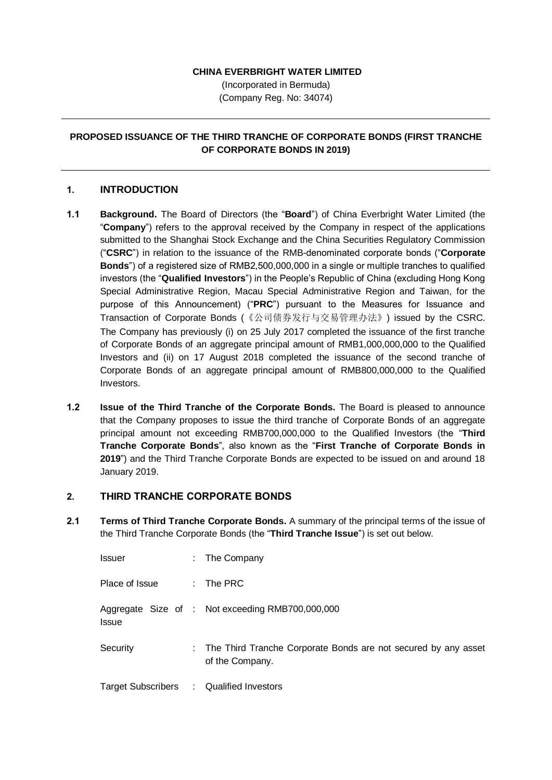#### **CHINA EVERBRIGHT WATER LIMITED**

(Incorporated in Bermuda) (Company Reg. No: 34074)

### **PROPOSED ISSUANCE OF THE THIRD TRANCHE OF CORPORATE BONDS (FIRST TRANCHE OF CORPORATE BONDS IN 2019)**

#### **1. INTRODUCTION**

- **1.1 Background.** The Board of Directors (the "**Board**") of China Everbright Water Limited (the "**Company**") refers to the approval received by the Company in respect of the applications submitted to the Shanghai Stock Exchange and the China Securities Regulatory Commission ("**CSRC**") in relation to the issuance of the RMB-denominated corporate bonds ("**Corporate Bonds**") of a registered size of RMB2,500,000,000 in a single or multiple tranches to qualified investors (the "**Qualified Investors**") in the People's Republic of China (excluding Hong Kong Special Administrative Region, Macau Special Administrative Region and Taiwan, for the purpose of this Announcement) ("**PRC**") pursuant to the Measures for Issuance and Transaction of Corporate Bonds (《公司债券发行与交易管理办法》) issued by the CSRC. The Company has previously (i) on 25 July 2017 completed the issuance of the first tranche of Corporate Bonds of an aggregate principal amount of RMB1,000,000,000 to the Qualified Investors and (ii) on 17 August 2018 completed the issuance of the second tranche of Corporate Bonds of an aggregate principal amount of RMB800,000,000 to the Qualified Investors.
- **1.2 Issue of the Third Tranche of the Corporate Bonds.** The Board is pleased to announce that the Company proposes to issue the third tranche of Corporate Bonds of an aggregate principal amount not exceeding RMB700,000,000 to the Qualified Investors (the "**Third Tranche Corporate Bonds**", also known as the "**First Tranche of Corporate Bonds in 2019**") and the Third Tranche Corporate Bonds are expected to be issued on and around 18 January 2019.

# **2. THIRD TRANCHE CORPORATE BONDS**

**2.1 Terms of Third Tranche Corporate Bonds.** A summary of the principal terms of the issue of the Third Tranche Corporate Bonds (the "**Third Tranche Issue**") is set out below.

| <b>Issuer</b>             | ÷ | The Company                                                                         |
|---------------------------|---|-------------------------------------------------------------------------------------|
| Place of Issue            |   | $:$ The PRC                                                                         |
| <b>Issue</b>              |   | Aggregate Size of : Not exceeding RMB700,000,000                                    |
| Security                  |   | : The Third Tranche Corporate Bonds are not secured by any asset<br>of the Company. |
| <b>Target Subscribers</b> |   | : Qualified Investors                                                               |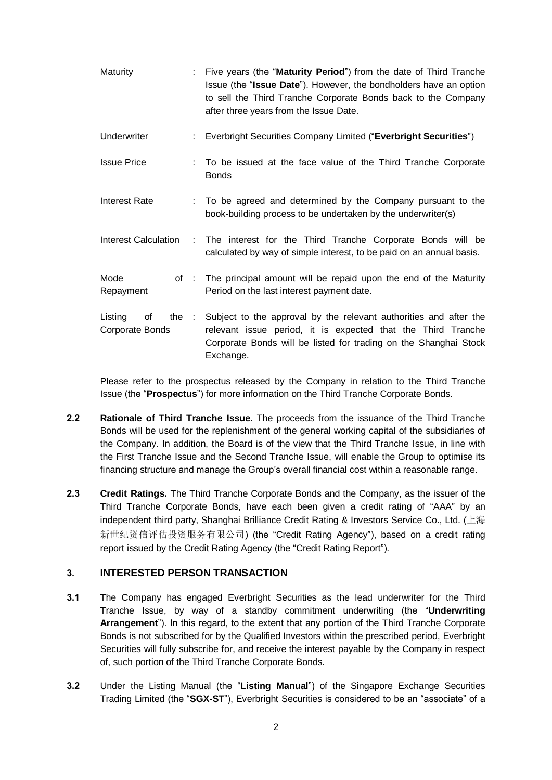| <b>Maturity</b>                  | Five years (the "Maturity Period") from the date of Third Tranche<br>Issue (the "Issue Date"). However, the bondholders have an option<br>to sell the Third Tranche Corporate Bonds back to the Company<br>after three years from the Issue Date. |
|----------------------------------|---------------------------------------------------------------------------------------------------------------------------------------------------------------------------------------------------------------------------------------------------|
| Underwriter                      | Everbright Securities Company Limited ("Everbright Securities")                                                                                                                                                                                   |
| <b>Issue Price</b>               | To be issued at the face value of the Third Tranche Corporate<br><b>Bonds</b>                                                                                                                                                                     |
| <b>Interest Rate</b>             | : To be agreed and determined by the Company pursuant to the<br>book-building process to be undertaken by the underwriter(s)                                                                                                                      |
| Interest Calculation :           | The interest for the Third Tranche Corporate Bonds will be<br>calculated by way of simple interest, to be paid on an annual basis.                                                                                                                |
| Mode<br>of:<br>Repayment         | The principal amount will be repaid upon the end of the Maturity<br>Period on the last interest payment date.                                                                                                                                     |
| Listing<br>of<br>Corporate Bonds | the : Subject to the approval by the relevant authorities and after the<br>relevant issue period, it is expected that the Third Tranche<br>Corporate Bonds will be listed for trading on the Shanghai Stock<br>Exchange.                          |

Please refer to the prospectus released by the Company in relation to the Third Tranche Issue (the "**Prospectus**") for more information on the Third Tranche Corporate Bonds.

- **2.2 Rationale of Third Tranche Issue.** The proceeds from the issuance of the Third Tranche Bonds will be used for the replenishment of the general working capital of the subsidiaries of the Company. In addition, the Board is of the view that the Third Tranche Issue, in line with the First Tranche Issue and the Second Tranche Issue, will enable the Group to optimise its financing structure and manage the Group's overall financial cost within a reasonable range.
- **2.3 Credit Ratings.** The Third Tranche Corporate Bonds and the Company, as the issuer of the Third Tranche Corporate Bonds, have each been given a credit rating of "AAA" by an independent third party, Shanghai Brilliance Credit Rating & Investors Service Co., Ltd. (上海 新世纪资信评估投资服务有限公司) (the "Credit Rating Agency"), based on a credit rating report issued by the Credit Rating Agency (the "Credit Rating Report").

# **3. INTERESTED PERSON TRANSACTION**

- **3.1** The Company has engaged Everbright Securities as the lead underwriter for the Third Tranche Issue, by way of a standby commitment underwriting (the "**Underwriting Arrangement**"). In this regard, to the extent that any portion of the Third Tranche Corporate Bonds is not subscribed for by the Qualified Investors within the prescribed period, Everbright Securities will fully subscribe for, and receive the interest payable by the Company in respect of, such portion of the Third Tranche Corporate Bonds.
- **3.2** Under the Listing Manual (the "**Listing Manual**") of the Singapore Exchange Securities Trading Limited (the "**SGX-ST**"), Everbright Securities is considered to be an "associate" of a